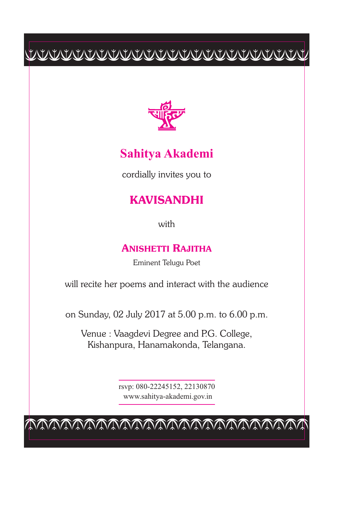# $\begin{tabular}{c} \multicolumn{2}{c} {\textbf{C}W} \multicolumn{2}{c} {\textbf{C}W} \multicolumn{2}{c} {\textbf{C}W} \multicolumn{2}{c} {\textbf{C}W} \multicolumn{2}{c} {\textbf{C}W} \multicolumn{2}{c} {\textbf{C}W} \multicolumn{2}{c} {\textbf{C}W} \multicolumn{2}{c} {\textbf{C}W} \multicolumn{2}{c} {\textbf{C}W} \multicolumn{2}{c} {\textbf{C}W} \multicolumn{2}{c} {\textbf{C}W} \multicolumn{2}{c} {\textbf{C}W} \multicolumn{2}{c$



### **Sahitya Akademi**

cordially invites you to

## **KAVISANDHI**

with

#### **ANISHETTI RAJITHA**

Eminent Telugu Poet

will recite her poems and interact with the audience

on Sunday, 02 July 2017 at 5.00 p.m. to 6.00 p.m.

Venue : Vaagdevi Degree and P.G. College, Kishanpura, Hanamakonda, Telangana.

> rsvp: 080-22245152, 22130870 www.sahitya-akademi.gov.in

cccccccccccccccccccccccc